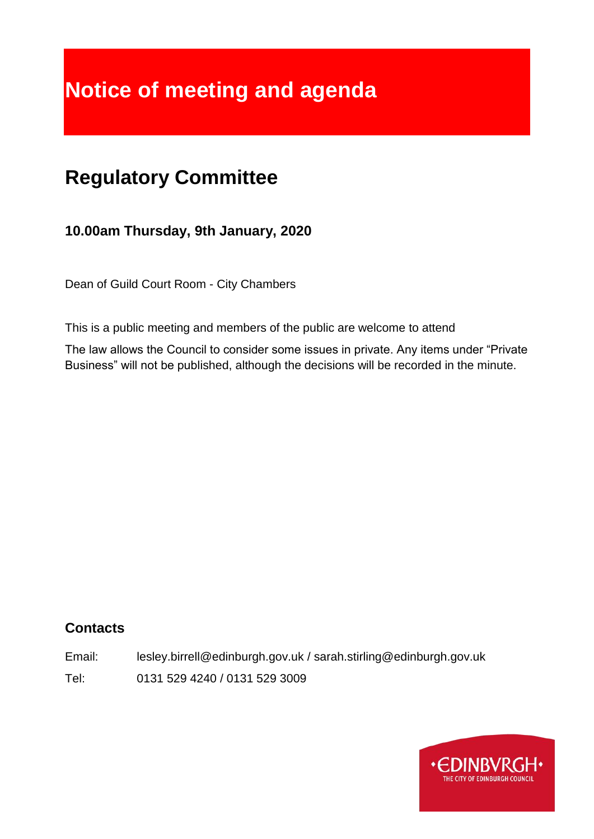# **Notice of meeting and agenda**

## **Regulatory Committee**

**10.00am Thursday, 9th January, 2020**

Dean of Guild Court Room - City Chambers

This is a public meeting and members of the public are welcome to attend

The law allows the Council to consider some issues in private. Any items under "Private Business" will not be published, although the decisions will be recorded in the minute.

#### **Contacts**

Email: lesley.birrell@edinburgh.gov.uk / sarah.stirling@edinburgh.gov.uk Tel: 0131 529 4240 / 0131 529 3009

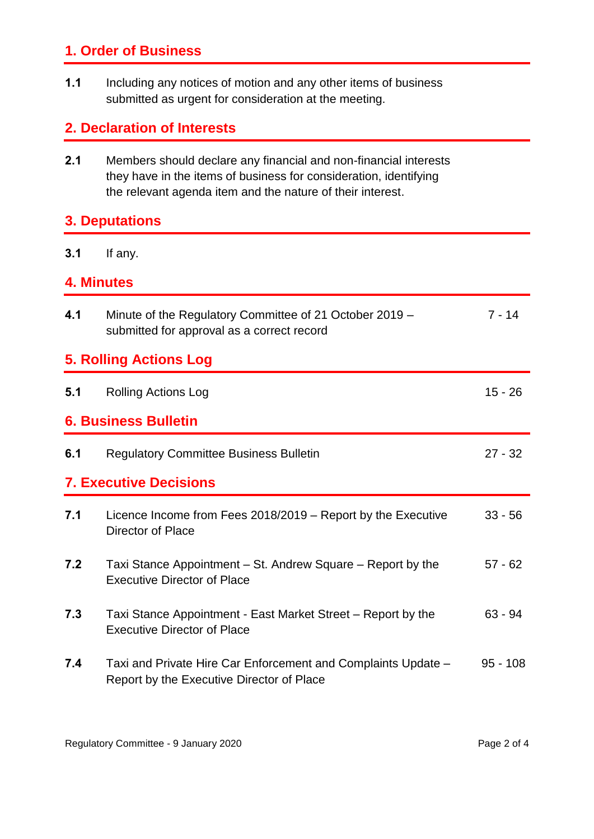### **1. Order of Business**

**1.1** Including any notices of motion and any other items of business submitted as urgent for consideration at the meeting.

#### **2. Declaration of Interests**

**2.1** Members should declare any financial and non-financial interests they have in the items of business for consideration, identifying the relevant agenda item and the nature of their interest.

#### **3. Deputations**

#### **3.1** If any.

#### **4. Minutes**

| 4.1                           | Minute of the Regulatory Committee of 21 October 2019 -<br>submitted for approval as a correct record      | $7 - 14$   |
|-------------------------------|------------------------------------------------------------------------------------------------------------|------------|
| <b>5. Rolling Actions Log</b> |                                                                                                            |            |
| 5.1                           | <b>Rolling Actions Log</b>                                                                                 | $15 - 26$  |
| <b>6. Business Bulletin</b>   |                                                                                                            |            |
| 6.1                           | <b>Regulatory Committee Business Bulletin</b>                                                              | $27 - 32$  |
| <b>7. Executive Decisions</b> |                                                                                                            |            |
| 7.1                           | Licence Income from Fees 2018/2019 – Report by the Executive<br>Director of Place                          | $33 - 56$  |
| 7.2                           | Taxi Stance Appointment – St. Andrew Square – Report by the<br><b>Executive Director of Place</b>          | $57 - 62$  |
| 7.3                           | Taxi Stance Appointment - East Market Street – Report by the<br><b>Executive Director of Place</b>         | $63 - 94$  |
| 7.4                           | Taxi and Private Hire Car Enforcement and Complaints Update -<br>Report by the Executive Director of Place | $95 - 108$ |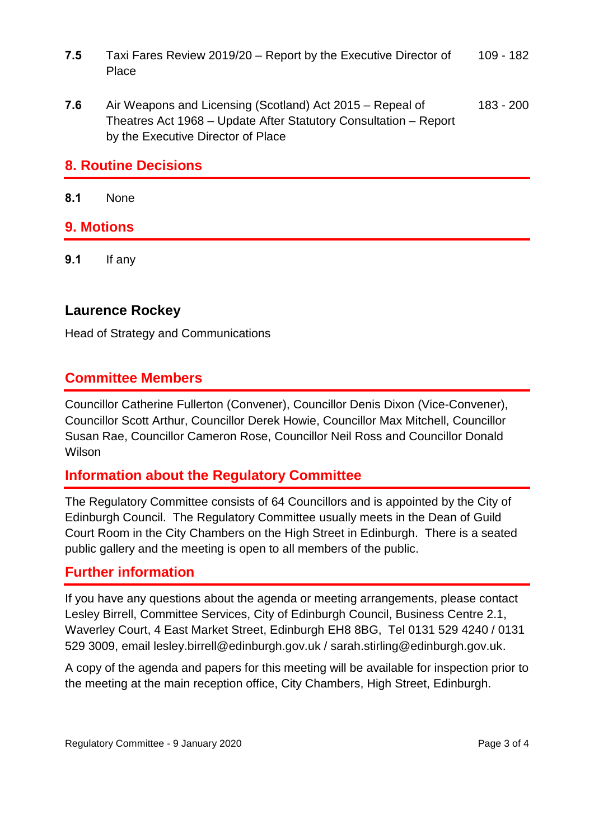- **7.5** Taxi Fares Review 2019/20 Report by the Executive Director of Place 109 - 182
- **7.6** Air Weapons and Licensing (Scotland) Act 2015 Repeal of Theatres Act 1968 – Update After Statutory Consultation – Report by the Executive Director of Place 183 - 200

#### **8. Routine Decisions**

**8.1** None

#### **9. Motions**

**9.1** If any

#### **Laurence Rockey**

Head of Strategy and Communications

#### **Committee Members**

Councillor Catherine Fullerton (Convener), Councillor Denis Dixon (Vice-Convener), Councillor Scott Arthur, Councillor Derek Howie, Councillor Max Mitchell, Councillor Susan Rae, Councillor Cameron Rose, Councillor Neil Ross and Councillor Donald Wilson

#### **Information about the Regulatory Committee**

The Regulatory Committee consists of 64 Councillors and is appointed by the City of Edinburgh Council. The Regulatory Committee usually meets in the Dean of Guild Court Room in the City Chambers on the High Street in Edinburgh. There is a seated public gallery and the meeting is open to all members of the public.

#### **Further information**

If you have any questions about the agenda or meeting arrangements, please contact Lesley Birrell, Committee Services, City of Edinburgh Council, Business Centre 2.1, Waverley Court, 4 East Market Street, Edinburgh EH8 8BG, Tel 0131 529 4240 / 0131 529 3009, email lesley.birrell@edinburgh.gov.uk / sarah.stirling@edinburgh.gov.uk.

A copy of the agenda and papers for this meeting will be available for inspection prior to the meeting at the main reception office, City Chambers, High Street, Edinburgh.